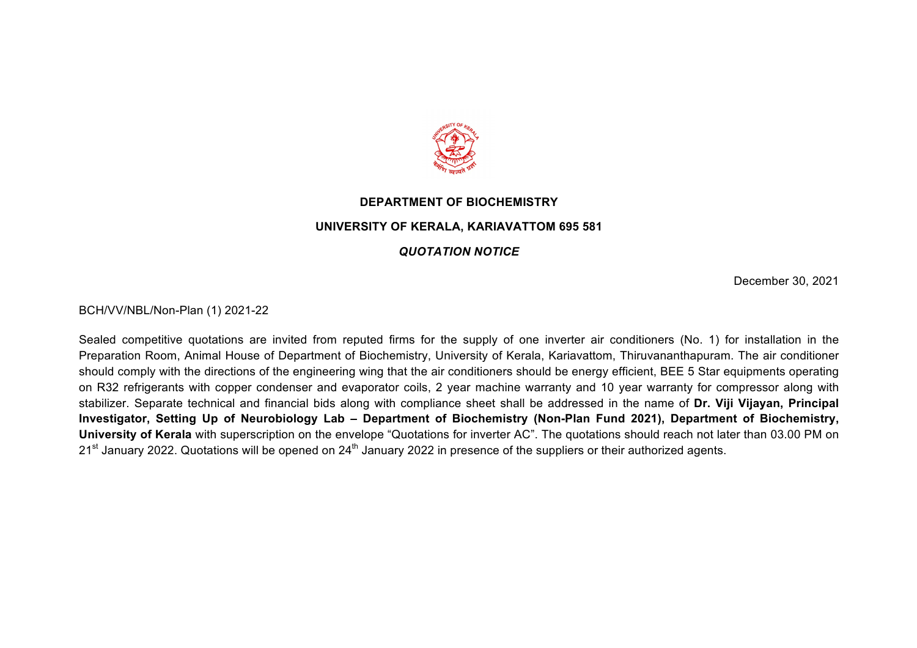

## **DEPARTMENT OF BIOCHEMISTRY UNIVERSITY OF KERALA, KARIAVATTOM 695 581**

## *QUOTATION NOTICE*

December 30, 2021

BCH/VV/NBL/Non-Plan (1) 2021-22

Sealed competitive quotations are invited from reputed firms for the supply of one inverter air conditioners (No. 1) for installation in the Preparation Room, Animal House of Department of Biochemistry, University of Kerala, Kariavattom, Thiruvananthapuram. The air conditioner should comply with the directions of the engineering wing that the air conditioners should be energy efficient, BEE 5 Star equipments operating on R32 refrigerants with copper condenser and evaporator coils, 2 year machine warranty and 10 year warranty for compressor along with stabilizer. Separate technical and financial bids along with compliance sheet shall be addressed in the name of **Dr. Viji Vijayan, Principal Investigator, Setting Up of Neurobiology Lab – Department of Biochemistry (Non-Plan Fund 2021), Department of Biochemistry, University of Kerala** with superscription on the envelope "Quotations for inverter AC". The quotations should reach not later than 03.00 PM on  $21<sup>st</sup>$  January 2022. Quotations will be opened on 24<sup>th</sup> January 2022 in presence of the suppliers or their authorized agents.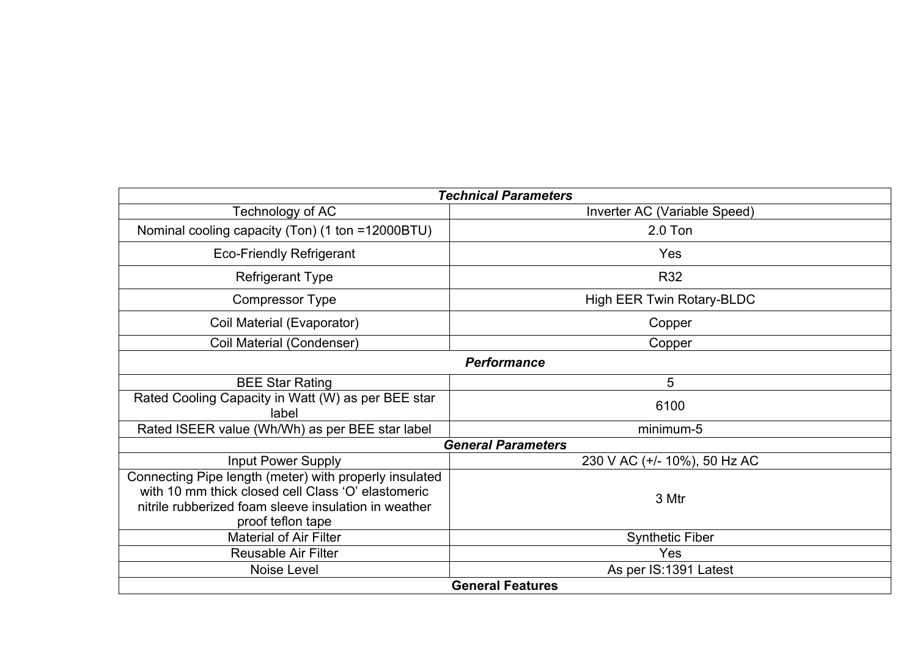| <b>Technical Parameters</b>                                                                                                                                                               |                                  |  |
|-------------------------------------------------------------------------------------------------------------------------------------------------------------------------------------------|----------------------------------|--|
| Technology of AC                                                                                                                                                                          | Inverter AC (Variable Speed)     |  |
| Nominal cooling capacity (Ton) (1 ton =12000BTU)                                                                                                                                          | $2.0$ Ton                        |  |
| <b>Eco-Friendly Refrigerant</b>                                                                                                                                                           | Yes                              |  |
| <b>Refrigerant Type</b>                                                                                                                                                                   | <b>R32</b>                       |  |
| <b>Compressor Type</b>                                                                                                                                                                    | <b>High EER Twin Rotary-BLDC</b> |  |
| Coil Material (Evaporator)                                                                                                                                                                | Copper                           |  |
| Coil Material (Condenser)                                                                                                                                                                 | Copper                           |  |
| <b>Performance</b>                                                                                                                                                                        |                                  |  |
| <b>BEE Star Rating</b>                                                                                                                                                                    | 5                                |  |
| Rated Cooling Capacity in Watt (W) as per BEE star<br>label                                                                                                                               | 6100                             |  |
| Rated ISEER value (Wh/Wh) as per BEE star label                                                                                                                                           | minimum-5                        |  |
| <b>General Parameters</b>                                                                                                                                                                 |                                  |  |
| <b>Input Power Supply</b>                                                                                                                                                                 | 230 V AC (+/- 10%), 50 Hz AC     |  |
| Connecting Pipe length (meter) with properly insulated<br>with 10 mm thick closed cell Class 'O' elastomeric<br>nitrile rubberized foam sleeve insulation in weather<br>proof teflon tape | 3 Mtr                            |  |
| <b>Material of Air Filter</b>                                                                                                                                                             | <b>Synthetic Fiber</b>           |  |
| Reusable Air Filter                                                                                                                                                                       | Yes                              |  |
| Noise Level                                                                                                                                                                               | As per IS:1391 Latest            |  |
| <b>General Features</b>                                                                                                                                                                   |                                  |  |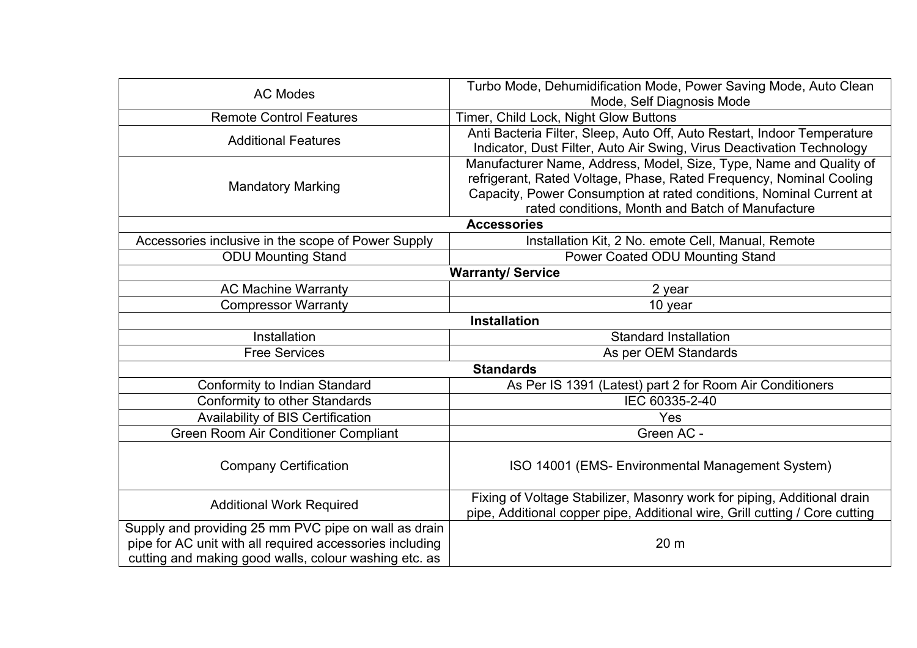| <b>AC Modes</b>                                          | Turbo Mode, Dehumidification Mode, Power Saving Mode, Auto Clean<br>Mode, Self Diagnosis Mode |  |
|----------------------------------------------------------|-----------------------------------------------------------------------------------------------|--|
| <b>Remote Control Features</b>                           | Timer, Child Lock, Night Glow Buttons                                                         |  |
| <b>Additional Features</b>                               | Anti Bacteria Filter, Sleep, Auto Off, Auto Restart, Indoor Temperature                       |  |
|                                                          | Indicator, Dust Filter, Auto Air Swing, Virus Deactivation Technology                         |  |
| <b>Mandatory Marking</b>                                 | Manufacturer Name, Address, Model, Size, Type, Name and Quality of                            |  |
|                                                          | refrigerant, Rated Voltage, Phase, Rated Frequency, Nominal Cooling                           |  |
|                                                          | Capacity, Power Consumption at rated conditions, Nominal Current at                           |  |
|                                                          | rated conditions, Month and Batch of Manufacture                                              |  |
| <b>Accessories</b>                                       |                                                                                               |  |
| Accessories inclusive in the scope of Power Supply       | Installation Kit, 2 No. emote Cell, Manual, Remote                                            |  |
| <b>ODU Mounting Stand</b>                                | Power Coated ODU Mounting Stand                                                               |  |
| <b>Warranty/Service</b>                                  |                                                                                               |  |
| <b>AC Machine Warranty</b>                               | 2 year                                                                                        |  |
| <b>Compressor Warranty</b>                               | 10 year                                                                                       |  |
| <b>Installation</b>                                      |                                                                                               |  |
| Installation                                             | <b>Standard Installation</b>                                                                  |  |
| <b>Free Services</b>                                     | As per OEM Standards                                                                          |  |
| <b>Standards</b>                                         |                                                                                               |  |
| Conformity to Indian Standard                            | As Per IS 1391 (Latest) part 2 for Room Air Conditioners                                      |  |
| Conformity to other Standards                            | IEC 60335-2-40                                                                                |  |
| Availability of BIS Certification                        | Yes                                                                                           |  |
| Green Room Air Conditioner Compliant                     | Green AC -                                                                                    |  |
|                                                          |                                                                                               |  |
| <b>Company Certification</b>                             | ISO 14001 (EMS- Environmental Management System)                                              |  |
|                                                          |                                                                                               |  |
| <b>Additional Work Required</b>                          | Fixing of Voltage Stabilizer, Masonry work for piping, Additional drain                       |  |
|                                                          | pipe, Additional copper pipe, Additional wire, Grill cutting / Core cutting                   |  |
| Supply and providing 25 mm PVC pipe on wall as drain     |                                                                                               |  |
| pipe for AC unit with all required accessories including | 20 m                                                                                          |  |
| cutting and making good walls, colour washing etc. as    |                                                                                               |  |